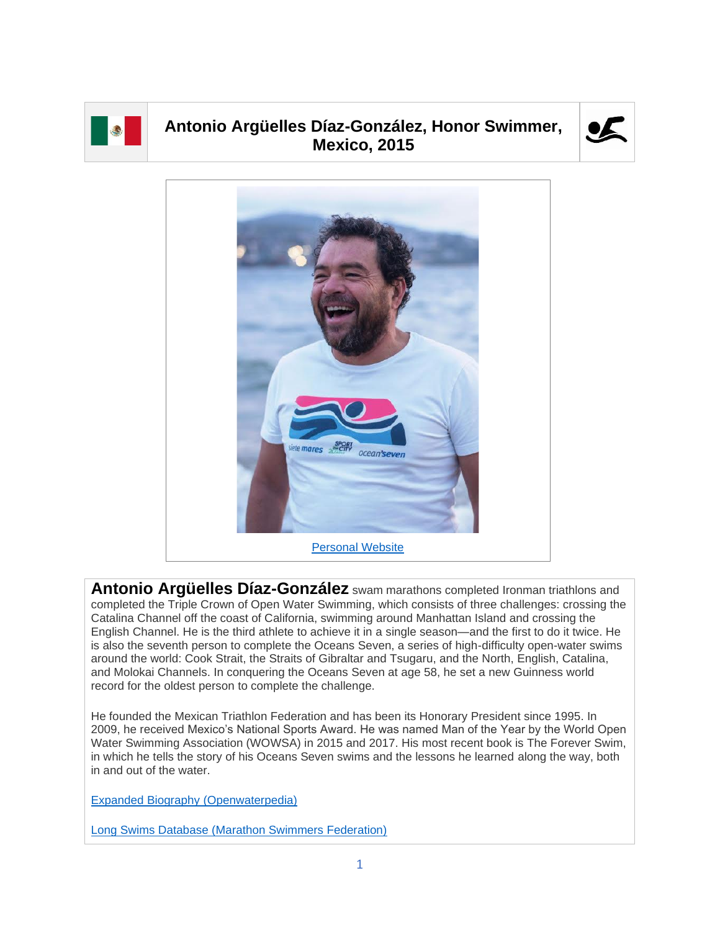

## **Antonio Argüelles Díaz-González, Honor Swimmer, Mexico, 2015**





**Antonio Argüelles Díaz-González** swam marathons completed Ironman triathlons and completed the Triple Crown of Open Water Swimming, which consists of three challenges: crossing the Catalina Channel off the coast of California, swimming around Manhattan Island and crossing the English Channel. He is the third athlete to achieve it in a single season—and the first to do it twice. He is also the seventh person to complete the Oceans Seven, a series of high-difficulty open-water swims around the world: Cook Strait, the Straits of Gibraltar and Tsugaru, and the North, English, Catalina, and Molokai Channels. In conquering the Oceans Seven at age 58, he set a new Guinness world record for the oldest person to complete the challenge.

He founded the Mexican Triathlon Federation and has been its Honorary President since 1995. In 2009, he received Mexico's National Sports Award. He was named Man of the Year by the World Open Water Swimming Association (WOWSA) in 2015 and 2017. His most recent book is The Forever Swim, in which he tells the story of his Oceans Seven swims and the lessons he learned along the way, both in and out of the water.

[Expanded Biography](https://www.openwaterpedia.com/index.php?title=Antonio_(To%C3%B1o)_Arg%C3%BCelles_D%C3%ADaz-Gonz%C3%A1lez) (Openwaterpedia)

Long Swims Database [\(Marathon Swimmers Federation\)](https://db.marathonswimmers.org/p/antonio-arguelles/)